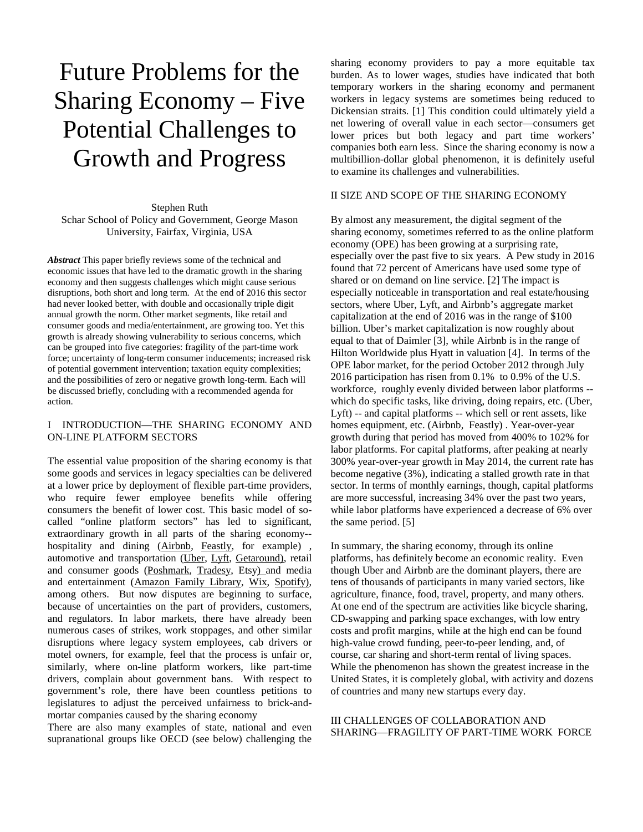# Future Problems for the Sharing Economy – Five Potential Challenges to Growth and Progress

Stephen Ruth Schar School of Policy and Government, George Mason University, Fairfax, Virginia, USA

*Abstract* This paper briefly reviews some of the technical and economic issues that have led to the dramatic growth in the sharing economy and then suggests challenges which might cause serious disruptions, both short and long term. At the end of 2016 this sector had never looked better, with double and occasionally triple digit annual growth the norm. Other market segments, like retail and consumer goods and media/entertainment, are growing too. Yet this growth is already showing vulnerability to serious concerns, which can be grouped into five categories: fragility of the part-time work force; uncertainty of long-term consumer inducements; increased risk of potential government intervention; taxation equity complexities; and the possibilities of zero or negative growth long-term. Each will be discussed briefly, concluding with a recommended agenda for action.

# I INTRODUCTION—THE SHARING ECONOMY AND ON-LINE PLATFORM SECTORS

The essential value proposition of the sharing economy is that some goods and services in legacy specialties can be delivered at a lower price by deployment of flexible part-time providers, who require fewer employee benefits while offering consumers the benefit of lower cost. This basic model of socalled "online platform sectors" has led to significant, extraordinary growth in all parts of the sharing economy- hospitality and dining [\(Airbnb,](https://www.airbnb.com/?af=43720035&c=A_TC%3Dfmeb9dyr2w%26G_MT%3De%26G_CR%3D100808697856%26G_N%3Dg%26G_K%3Dairbnb) [Feastly,](https://eatfeastly.com/) for example) , automotive and transportation [\(Uber,](https://www.uber.com/a/carousel-vs-1/?exp=evg-c&use_psh=true&city_name=washington-dc&utm_source=AdWords_Brand&utm_campaign=search-google-brand_1_8_us-washingtondc_d_txt_acq_cpc_en-us_uber_kwd-169801042_130497895720_22880482120_e_c_track-may04generalupdate_restructure&cid=271788160&adg_id=22880482120&fi_id=&match=e&net=g&dev=c&dev_m=&cre=130497895720&kwid=kwd-169801042&kw=uber&placement=&tar=&gclid=CKjQlt3t6s8CFQVehgodh-kNVQ&gclsrc=aw.ds&dclid=CO-tm93t6s8CFUhTDAodWK8LmQ) [Lyft,](https://www.lyft.com/drive-with-lyft?loc_physical_ms=9008159&utm_campaign=Driver_DCA_Search_Brand_Lyft_Exact&adgroup=lyft&var1=nofold&loc_interest_ms=&devicemodel=&utm_term=lyft&gclid=CP_o0urt6s8CFURbhgodGqwGHw&utm_content=signon_DCA_250_75_google&targetid=kwd-158399963&utm_source=google&route_key=paid&ref=DCA250BONUS&network=g&utm_medium=search&v=Nofold&device=c&adposition=1t1&matchtype=e&p=true&k_clickid=b462d432-4cd3-424a-98b1-037522251833) [Getaround\)](https://www.getaround.com/), retail and consumer goods [\(Poshmark,](https://poshmark.com/) [Tradesy,](https://www.tradesy.com/) Etsy) and media and entertainment [\(Amazon Family Library,](https://www.amazon.com/gp/help/customer/display.html?nodeId=201620400) [Wix,](http://www.wix.com/freesitebuilder/hiker-create?experiment_id=wix%5ee%5e48420852700%5e1t1&gclid=CJ6ixffv6s8CFctbhgodf6wMuw&utm_campaign=195454540%5e10375167220&utm_medium=cpc&utm_source=google) [Spotify\)](https://www.spotify.com/us/), among others. But now disputes are beginning to surface, because of uncertainties on the part of providers, customers, and regulators. In labor markets, there have already been numerous cases of strikes, work stoppages, and other similar disruptions where legacy system employees, cab drivers or motel owners, for example, feel that the process is unfair or, similarly, where on-line platform workers, like part-time drivers, complain about government bans. With respect to government's role, there have been countless petitions to legislatures to adjust the perceived unfairness to brick-andmortar companies caused by the sharing economy

There are also many examples of state, national and even supranational groups like OECD (see below) challenging the

sharing economy providers to pay a more equitable tax burden. As to lower wages, studies have indicated that both temporary workers in the sharing economy and permanent workers in legacy systems are sometimes being reduced to Dickensian straits. [1] This condition could ultimately yield a net lowering of overall value in each sector—consumers get lower prices but both legacy and part time workers' companies both earn less. Since the sharing economy is now a multibillion-dollar global phenomenon, it is definitely useful to examine its challenges and vulnerabilities.

## II SIZE AND SCOPE OF THE SHARING ECONOMY

By almost any measurement, the digital segment of the sharing economy, sometimes referred to as the online platform economy (OPE) has been growing at a surprising rate, especially over the past five to six years. A Pew study in 2016 found that 72 percent of Americans have used some type of shared or on demand on line service. [2] The impact is especially noticeable in transportation and real estate/housing sectors, where Uber, Lyft, and Airbnb's aggregate market capitalization at the end of 2016 was in the range of \$100 billion. Uber's market capitalization is now roughly about equal to that of Daimler [3], while Airbnb is in the range of Hilton Worldwide plus Hyatt in valuation [4]. In terms of the OPE labor market, for the period October 2012 through July 2016 participation has risen from 0.1% to 0.9% of the U.S. workforce, roughly evenly divided between labor platforms - which do specific tasks, like driving, doing repairs, etc. (Uber, Lyft) -- and capital platforms -- which sell or rent assets, like homes equipment, etc. (Airbnb, Feastly) . Year-over-year growth during that period has moved from 400% to 102% for labor platforms. For capital platforms, after peaking at nearly 300% year-over-year growth in May 2014, the current rate has become negative (3%), indicating a stalled growth rate in that sector. In terms of monthly earnings, though, capital platforms are more successful, increasing 34% over the past two years, while labor platforms have experienced a decrease of 6% over the same period. [5]

In summary, the sharing economy, through its online platforms, has definitely become an economic reality. Even though Uber and Airbnb are the dominant players, there are tens of thousands of participants in many varied sectors, like agriculture, finance, food, travel, property, and many others. At one end of the spectrum are activities like bicycle sharing, CD-swapping and parking space exchanges, with low entry costs and profit margins, while at the high end can be found high-value crowd funding, peer-to-peer lending, and, of course, car sharing and short-term rental of living spaces. While the phenomenon has shown the greatest increase in the United States, it is completely global, with activity and dozens of countries and many new startups every day.

### III CHALLENGES OF COLLABORATION AND SHARING—FRAGILITY OF PART-TIME WORK FORCE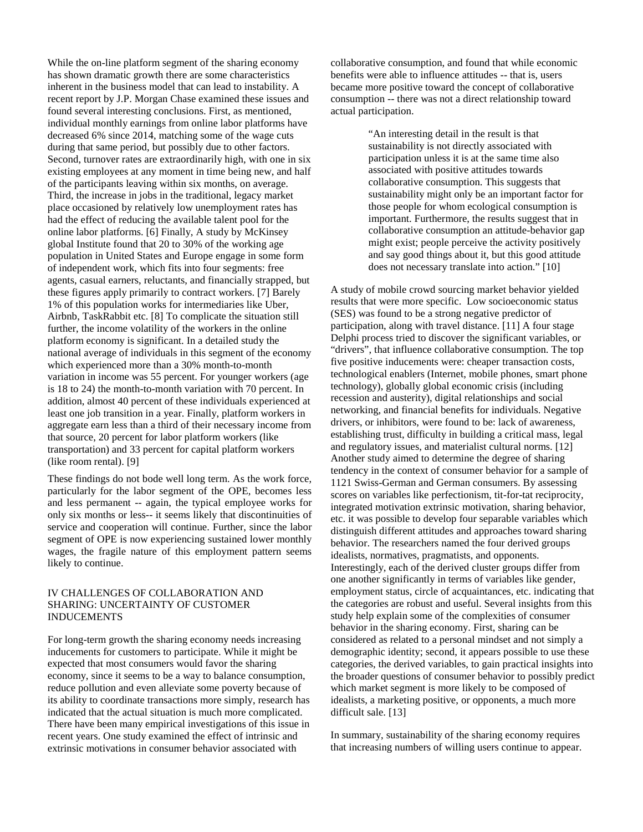While the on-line platform segment of the sharing economy has shown dramatic growth there are some characteristics inherent in the business model that can lead to instability. A recent report by J.P. Morgan Chase examined these issues and found several interesting conclusions. First, as mentioned, individual monthly earnings from online labor platforms have decreased 6% since 2014, matching some of the wage cuts during that same period, but possibly due to other factors. Second, turnover rates are extraordinarily high, with one in six existing employees at any moment in time being new, and half of the participants leaving within six months, on average. Third, the increase in jobs in the traditional, legacy market place occasioned by relatively low unemployment rates has had the effect of reducing the available talent pool for the online labor platforms. [6] Finally, A study by McKinsey global Institute found that 20 to 30% of the working age population in United States and Europe engage in some form of independent work, which fits into four segments: free agents, casual earners, reluctants, and financially strapped, but these figures apply primarily to contract workers. [7] Barely 1% of this population works for intermediaries like Uber, Airbnb, TaskRabbit etc. [8] To complicate the situation still further, the income volatility of the workers in the online platform economy is significant. In a detailed study the national average of individuals in this segment of the economy which experienced more than a 30% month-to-month variation in income was 55 percent. For younger workers (age is 18 to 24) the month-to-month variation with 70 percent. In addition, almost 40 percent of these individuals experienced at least one job transition in a year. Finally, platform workers in aggregate earn less than a third of their necessary income from that source, 20 percent for labor platform workers (like transportation) and 33 percent for capital platform workers (like room rental). [9]

These findings do not bode well long term. As the work force, particularly for the labor segment of the OPE, becomes less and less permanent -- again, the typical employee works for only six months or less-- it seems likely that discontinuities of service and cooperation will continue. Further, since the labor segment of OPE is now experiencing sustained lower monthly wages, the fragile nature of this employment pattern seems likely to continue.

### IV CHALLENGES OF COLLABORATION AND SHARING: UNCERTAINTY OF CUSTOMER INDUCEMENTS

For long-term growth the sharing economy needs increasing inducements for customers to participate. While it might be expected that most consumers would favor the sharing economy, since it seems to be a way to balance consumption, reduce pollution and even alleviate some poverty because of its ability to coordinate transactions more simply, research has indicated that the actual situation is much more complicated. There have been many empirical investigations of this issue in recent years. One study examined the effect of intrinsic and extrinsic motivations in consumer behavior associated with

collaborative consumption, and found that while economic benefits were able to influence attitudes -- that is, users became more positive toward the concept of collaborative consumption -- there was not a direct relationship toward actual participation.

> "An interesting detail in the result is that sustainability is not directly associated with participation unless it is at the same time also associated with positive attitudes towards collaborative consumption. This suggests that sustainability might only be an important factor for those people for whom ecological consumption is important. Furthermore, the results suggest that in collaborative consumption an attitude-behavior gap might exist; people perceive the activity positively and say good things about it, but this good attitude does not necessary translate into action." [10]

A study of mobile crowd sourcing market behavior yielded results that were more specific. Low socioeconomic status (SES) was found to be a strong negative predictor of participation, along with travel distance. [11] A four stage Delphi process tried to discover the significant variables, or "drivers", that influence collaborative consumption. The top five positive inducements were: cheaper transaction costs, technological enablers (Internet, mobile phones, smart phone technology), globally global economic crisis (including recession and austerity), digital relationships and social networking, and financial benefits for individuals. Negative drivers, or inhibitors, were found to be: lack of awareness, establishing trust, difficulty in building a critical mass, legal and regulatory issues, and materialist cultural norms. [12] Another study aimed to determine the degree of sharing tendency in the context of consumer behavior for a sample of 1121 Swiss-German and German consumers. By assessing scores on variables like perfectionism, tit-for-tat reciprocity, integrated motivation extrinsic motivation, sharing behavior, etc. it was possible to develop four separable variables which distinguish different attitudes and approaches toward sharing behavior. The researchers named the four derived groups idealists, normatives, pragmatists, and opponents. Interestingly, each of the derived cluster groups differ from one another significantly in terms of variables like gender, employment status, circle of acquaintances, etc. indicating that the categories are robust and useful. Several insights from this study help explain some of the complexities of consumer behavior in the sharing economy. First, sharing can be considered as related to a personal mindset and not simply a demographic identity; second, it appears possible to use these categories, the derived variables, to gain practical insights into the broader questions of consumer behavior to possibly predict which market segment is more likely to be composed of idealists, a marketing positive, or opponents, a much more difficult sale. [13]

In summary, sustainability of the sharing economy requires that increasing numbers of willing users continue to appear.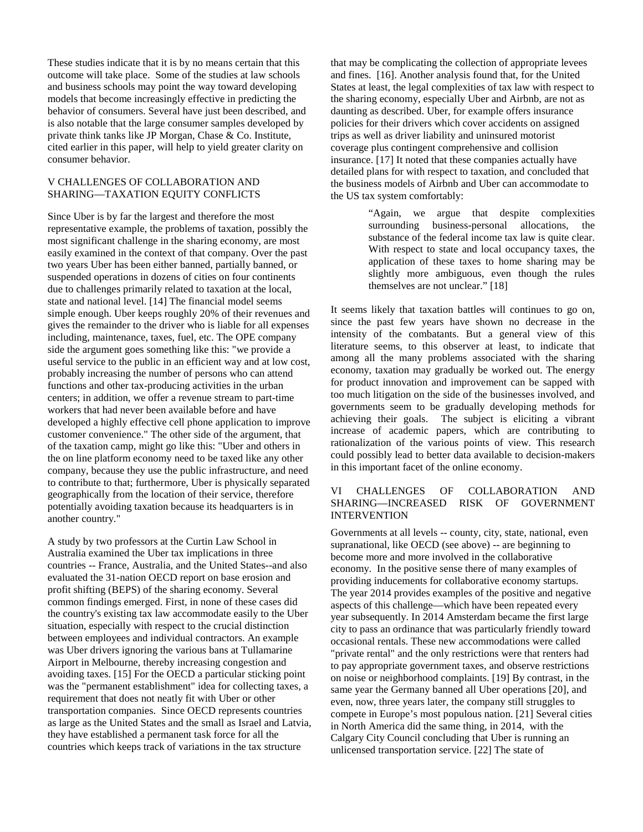These studies indicate that it is by no means certain that this outcome will take place. Some of the studies at law schools and business schools may point the way toward developing models that become increasingly effective in predicting the behavior of consumers. Several have just been described, and is also notable that the large consumer samples developed by private think tanks like JP Morgan, Chase & Co. Institute, cited earlier in this paper, will help to yield greater clarity on consumer behavior.

# V CHALLENGES OF COLLABORATION AND SHARING—TAXATION EQUITY CONFLICTS

Since Uber is by far the largest and therefore the most representative example, the problems of taxation, possibly the most significant challenge in the sharing economy, are most easily examined in the context of that company. Over the past two years Uber has been either banned, partially banned, or suspended operations in dozens of cities on four continents due to challenges primarily related to taxation at the local, state and national level. [14] The financial model seems simple enough. Uber keeps roughly 20% of their revenues and gives the remainder to the driver who is liable for all expenses including, maintenance, taxes, fuel, etc. The OPE company side the argument goes something like this: "we provide a useful service to the public in an efficient way and at low cost, probably increasing the number of persons who can attend functions and other tax-producing activities in the urban centers; in addition, we offer a revenue stream to part-time workers that had never been available before and have developed a highly effective cell phone application to improve customer convenience." The other side of the argument, that of the taxation camp, might go like this: "Uber and others in the on line platform economy need to be taxed like any other company, because they use the public infrastructure, and need to contribute to that; furthermore, Uber is physically separated geographically from the location of their service, therefore potentially avoiding taxation because its headquarters is in another country."

A study by two professors at the Curtin Law School in Australia examined the Uber tax implications in three countries -- France, Australia, and the United States--and also evaluated the 31-nation OECD report on base erosion and profit shifting (BEPS) of the sharing economy. Several common findings emerged. First, in none of these cases did the country's existing tax law accommodate easily to the Uber situation, especially with respect to the crucial distinction between employees and individual contractors. An example was Uber drivers ignoring the various bans at Tullamarine Airport in Melbourne, thereby increasing congestion and avoiding taxes. [15] For the OECD a particular sticking point was the "permanent establishment" idea for collecting taxes, a requirement that does not neatly fit with Uber or other transportation companies. Since OECD represents countries as large as the United States and the small as Israel and Latvia, they have established a permanent task force for all the countries which keeps track of variations in the tax structure

that may be complicating the collection of appropriate levees and fines. [16]. Another analysis found that, for the United States at least, the legal complexities of tax law with respect to the sharing economy, especially Uber and Airbnb, are not as daunting as described. Uber, for example offers insurance policies for their drivers which cover accidents on assigned trips as well as driver liability and uninsured motorist coverage plus contingent comprehensive and collision insurance. [17] It noted that these companies actually have detailed plans for with respect to taxation, and concluded that the business models of Airbnb and Uber can accommodate to the US tax system comfortably:

> "Again, we argue that despite complexities business-personal allocations, the substance of the federal income tax law is quite clear. With respect to state and local occupancy taxes, the application of these taxes to home sharing may be slightly more ambiguous, even though the rules themselves are not unclear." [18]

It seems likely that taxation battles will continues to go on, since the past few years have shown no decrease in the intensity of the combatants. But a general view of this literature seems, to this observer at least, to indicate that among all the many problems associated with the sharing economy, taxation may gradually be worked out. The energy for product innovation and improvement can be sapped with too much litigation on the side of the businesses involved, and governments seem to be gradually developing methods for achieving their goals. The subject is eliciting a vibrant increase of academic papers, which are contributing to rationalization of the various points of view. This research could possibly lead to better data available to decision-makers in this important facet of the online economy.

# VI CHALLENGES OF COLLABORATION AND SHARING—INCREASED RISK OF GOVERNMENT INTERVENTION

Governments at all levels -- county, city, state, national, even supranational, like OECD (see above) -- are beginning to become more and more involved in the collaborative economy. In the positive sense there of many examples of providing inducements for collaborative economy startups. The year 2014 provides examples of the positive and negative aspects of this challenge—which have been repeated every year subsequently. In 2014 Amsterdam became the first large city to pass an ordinance that was particularly friendly toward occasional rentals. These new accommodations were called "private rental" and the only restrictions were that renters had to pay appropriate government taxes, and observe restrictions on noise or neighborhood complaints. [19] By contrast, in the same year the Germany banned all Uber operations [20], and even, now, three years later, the company still struggles to compete in Europe's most populous nation. [21] Several cities in North America did the same thing, in 2014, with the Calgary City Council concluding that Uber is running an unlicensed transportation service. [22] The state of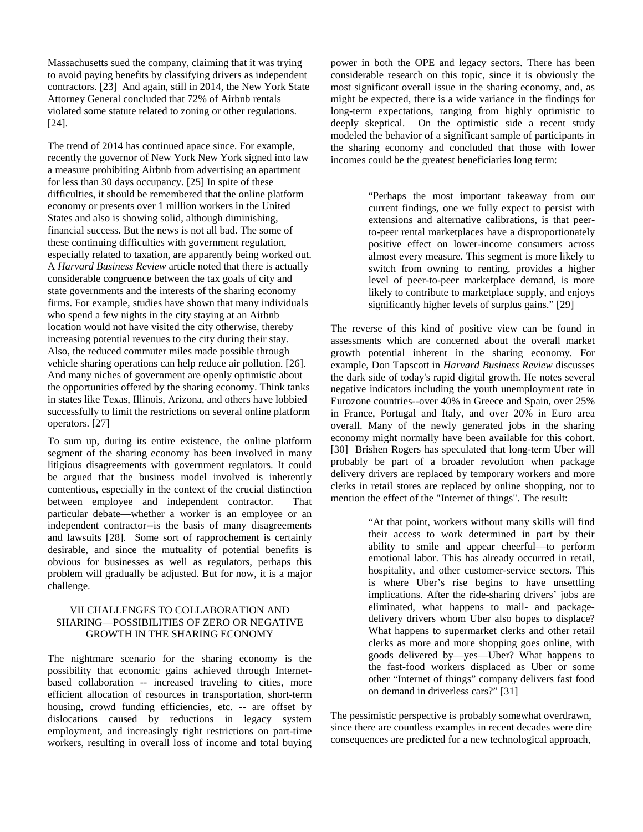Massachusetts sued the company, claiming that it was trying to avoid paying benefits by classifying drivers as independent contractors. [23] And again, still in 2014, the New York State Attorney General concluded that 72% of Airbnb rentals violated some statute related to zoning or other regulations. [24].

The trend of 2014 has continued apace since. For example, recently the governor of New York New York signed into law a measure prohibiting Airbnb from advertising an apartment for less than 30 days occupancy. [25] In spite of these difficulties, it should be remembered that the online platform economy or presents over 1 million workers in the United States and also is showing solid, although diminishing, financial success. But the news is not all bad. The some of these continuing difficulties with government regulation, especially related to taxation, are apparently being worked out. A *Harvard Business Review* article noted that there is actually considerable congruence between the tax goals of city and state governments and the interests of the sharing economy firms. For example, studies have shown that many individuals who spend a few nights in the city staying at an Airbnb location would not have visited the city otherwise, thereby increasing potential revenues to the city during their stay. Also, the reduced commuter miles made possible through vehicle sharing operations can help reduce air pollution. [26]. And many niches of government are openly optimistic about the opportunities offered by the sharing economy. Think tanks in states like Texas, Illinois, Arizona, and others have lobbied successfully to limit the restrictions on several online platform operators. [27]

To sum up, during its entire existence, the online platform segment of the sharing economy has been involved in many litigious disagreements with government regulators. It could be argued that the business model involved is inherently contentious, especially in the context of the crucial distinction between employee and independent contractor. That particular debate—whether a worker is an employee or an independent contractor--is the basis of many disagreements and lawsuits [28]. Some sort of rapprochement is certainly desirable, and since the mutuality of potential benefits is obvious for businesses as well as regulators, perhaps this problem will gradually be adjusted. But for now, it is a major challenge.

## VII CHALLENGES TO COLLABORATION AND SHARING—POSSIBILITIES OF ZERO OR NEGATIVE GROWTH IN THE SHARING ECONOMY

The nightmare scenario for the sharing economy is the possibility that economic gains achieved through Internetbased collaboration -- increased traveling to cities, more efficient allocation of resources in transportation, short-term housing, crowd funding efficiencies, etc. -- are offset by dislocations caused by reductions in legacy system employment, and increasingly tight restrictions on part-time workers, resulting in overall loss of income and total buying power in both the OPE and legacy sectors. There has been considerable research on this topic, since it is obviously the most significant overall issue in the sharing economy, and, as might be expected, there is a wide variance in the findings for long-term expectations, ranging from highly optimistic to deeply skeptical. On the optimistic side a recent study modeled the behavior of a significant sample of participants in the sharing economy and concluded that those with lower incomes could be the greatest beneficiaries long term:

> "Perhaps the most important takeaway from our current findings, one we fully expect to persist with extensions and alternative calibrations, is that peerto-peer rental marketplaces have a disproportionately positive effect on lower-income consumers across almost every measure. This segment is more likely to switch from owning to renting, provides a higher level of peer-to-peer marketplace demand, is more likely to contribute to marketplace supply, and enjoys significantly higher levels of surplus gains." [29]

The reverse of this kind of positive view can be found in assessments which are concerned about the overall market growth potential inherent in the sharing economy. For example, Don Tapscott in *Harvard Business Review* discusses the dark side of today's rapid digital growth. He notes several negative indicators including the youth unemployment rate in Eurozone countries--over 40% in Greece and Spain, over 25% in France, Portugal and Italy, and over 20% in Euro area overall. Many of the newly generated jobs in the sharing economy might normally have been available for this cohort. [30] Brishen Rogers has speculated that long-term Uber will probably be part of a broader revolution when package delivery drivers are replaced by temporary workers and more clerks in retail stores are replaced by online shopping, not to mention the effect of the "Internet of things". The result:

> "At that point, workers without many skills will find their access to work determined in part by their ability to smile and appear cheerful—to perform emotional labor. This has already occurred in retail, hospitality, and other customer-service sectors. This is where Uber's rise begins to have unsettling implications. After the ride-sharing drivers' jobs are eliminated, what happens to mail- and packagedelivery drivers whom Uber also hopes to displace? What happens to supermarket clerks and other retail clerks as more and more shopping goes online, with goods delivered by—yes—Uber? What happens to the fast-food workers displaced as Uber or some other "Internet of things" company delivers fast food on demand in driverless cars?" [31]

The pessimistic perspective is probably somewhat overdrawn, since there are countless examples in recent decades were dire consequences are predicted for a new technological approach,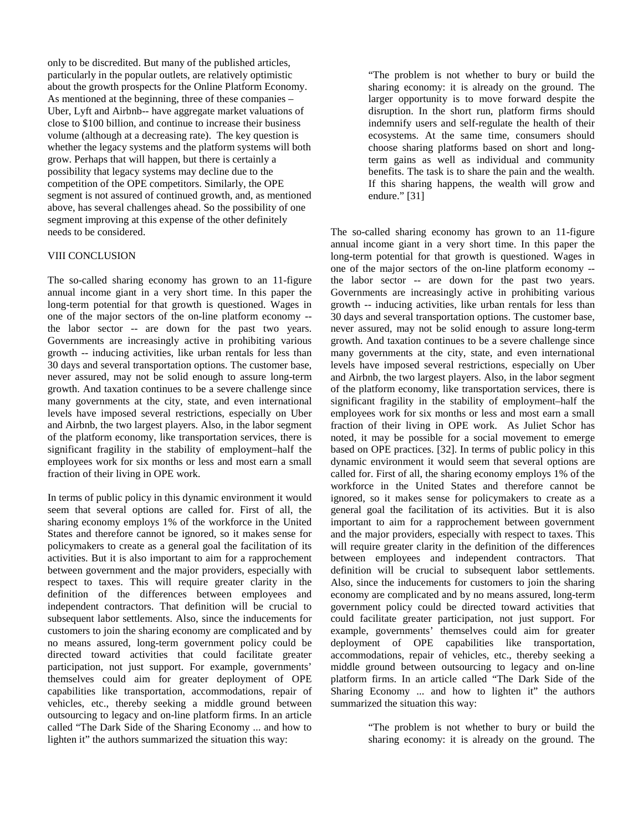only to be discredited. But many of the published articles, particularly in the popular outlets, are relatively optimistic about the growth prospects for the Online Platform Economy. As mentioned at the beginning, three of these companies – Uber, Lyft and Airbnb-- have aggregate market valuations of close to \$100 billion, and continue to increase their business volume (although at a decreasing rate). The key question is whether the legacy systems and the platform systems will both grow. Perhaps that will happen, but there is certainly a possibility that legacy systems may decline due to the competition of the OPE competitors. Similarly, the OPE segment is not assured of continued growth, and, as mentioned above, has several challenges ahead. So the possibility of one segment improving at this expense of the other definitely needs to be considered.

## VIII CONCLUSION

The so-called sharing economy has grown to an 11-figure annual income giant in a very short time. In this paper the long-term potential for that growth is questioned. Wages in one of the major sectors of the on-line platform economy - the labor sector -- are down for the past two years. Governments are increasingly active in prohibiting various growth -- inducing activities, like urban rentals for less than 30 days and several transportation options. The customer base, never assured, may not be solid enough to assure long-term growth. And taxation continues to be a severe challenge since many governments at the city, state, and even international levels have imposed several restrictions, especially on Uber and Airbnb, the two largest players. Also, in the labor segment of the platform economy, like transportation services, there is significant fragility in the stability of employment–half the employees work for six months or less and most earn a small fraction of their living in OPE work.

In terms of public policy in this dynamic environment it would seem that several options are called for. First of all, the sharing economy employs 1% of the workforce in the United States and therefore cannot be ignored, so it makes sense for policymakers to create as a general goal the facilitation of its activities. But it is also important to aim for a rapprochement between government and the major providers, especially with respect to taxes. This will require greater clarity in the definition of the differences between employees and independent contractors. That definition will be crucial to subsequent labor settlements. Also, since the inducements for customers to join the sharing economy are complicated and by no means assured, long-term government policy could be directed toward activities that could facilitate greater participation, not just support. For example, governments' themselves could aim for greater deployment of OPE capabilities like transportation, accommodations, repair of vehicles, etc., thereby seeking a middle ground between outsourcing to legacy and on-line platform firms. In an article called "The Dark Side of the Sharing Economy ... and how to lighten it" the authors summarized the situation this way:

"The problem is not whether to bury or build the sharing economy: it is already on the ground. The larger opportunity is to move forward despite the disruption. In the short run, platform firms should indemnify users and self-regulate the health of their ecosystems. At the same time, consumers should choose sharing platforms based on short and longterm gains as well as individual and community benefits. The task is to share the pain and the wealth. If this sharing happens, the wealth will grow and endure." [31]

The so-called sharing economy has grown to an 11-figure annual income giant in a very short time. In this paper the long-term potential for that growth is questioned. Wages in one of the major sectors of the on-line platform economy - the labor sector -- are down for the past two years. Governments are increasingly active in prohibiting various growth -- inducing activities, like urban rentals for less than 30 days and several transportation options. The customer base, never assured, may not be solid enough to assure long-term growth. And taxation continues to be a severe challenge since many governments at the city, state, and even international levels have imposed several restrictions, especially on Uber and Airbnb, the two largest players. Also, in the labor segment of the platform economy, like transportation services, there is significant fragility in the stability of employment–half the employees work for six months or less and most earn a small fraction of their living in OPE work. As Juliet Schor has noted, it may be possible for a social movement to emerge based on OPE practices. [32]. In terms of public policy in this dynamic environment it would seem that several options are called for. First of all, the sharing economy employs 1% of the workforce in the United States and therefore cannot be ignored, so it makes sense for policymakers to create as a general goal the facilitation of its activities. But it is also important to aim for a rapprochement between government and the major providers, especially with respect to taxes. This will require greater clarity in the definition of the differences between employees and independent contractors. That definition will be crucial to subsequent labor settlements. Also, since the inducements for customers to join the sharing economy are complicated and by no means assured, long-term government policy could be directed toward activities that could facilitate greater participation, not just support. For example, governments' themselves could aim for greater deployment of OPE capabilities like transportation, accommodations, repair of vehicles, etc., thereby seeking a middle ground between outsourcing to legacy and on-line platform firms. In an article called "The Dark Side of the Sharing Economy ... and how to lighten it" the authors summarized the situation this way:

> "The problem is not whether to bury or build the sharing economy: it is already on the ground. The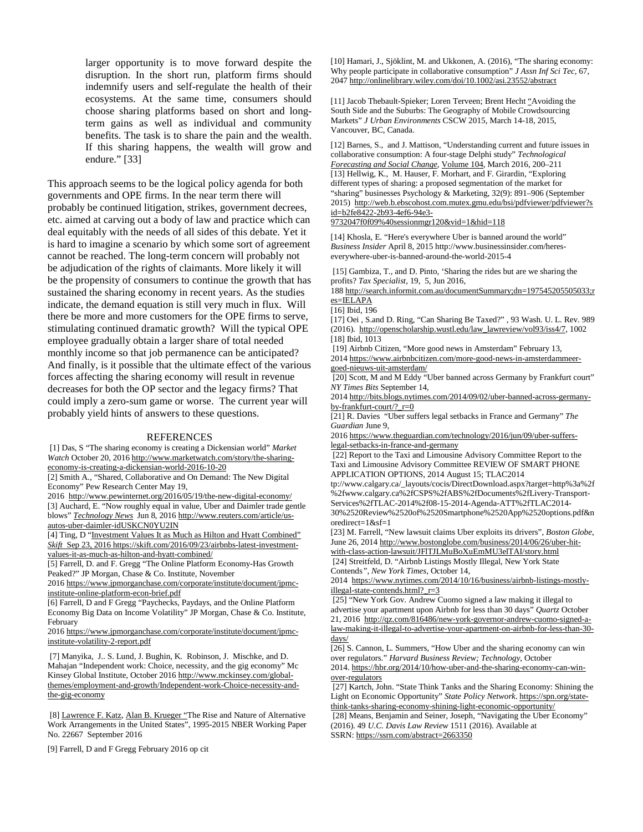larger opportunity is to move forward despite the disruption. In the short run, platform firms should indemnify users and self-regulate the health of their ecosystems. At the same time, consumers should choose sharing platforms based on short and longterm gains as well as individual and community benefits. The task is to share the pain and the wealth. If this sharing happens, the wealth will grow and endure." [33]

This approach seems to be the logical policy agenda for both governments and OPE firms. In the near term there will probably be continued litigation, strikes, government decrees, etc. aimed at carving out a body of law and practice which can deal equitably with the needs of all sides of this debate. Yet it is hard to imagine a scenario by which some sort of agreement cannot be reached. The long-term concern will probably not be adjudication of the rights of claimants. More likely it will be the propensity of consumers to continue the growth that has sustained the sharing economy in recent years. As the studies indicate, the demand equation is still very much in flux. Will there be more and more customers for the OPE firms to serve, stimulating continued dramatic growth? Will the typical OPE employee gradually obtain a larger share of total needed monthly income so that job permanence can be anticipated? And finally, is it possible that the ultimate effect of the various forces affecting the sharing economy will result in revenue decreases for both the OP sector and the legacy firms? That could imply a zero-sum game or worse. The current year will probably yield hints of answers to these questions.

#### REFERENCES

[1] Das, S "The sharing economy is creating a Dickensian world" *Market Watch* October 20, 201[6 http://www.marketwatch.com/story/the-sharing](http://www.marketwatch.com/story/the-sharing-economy-is-creating-a-dickensian-world-2016-10-20)[economy-is-creating-a-dickensian-world-2016-10-20](http://www.marketwatch.com/story/the-sharing-economy-is-creating-a-dickensian-world-2016-10-20)

[2] Smith A., "Shared, Collaborative and On Demand: The New Digital Economy" Pew Research Center May 19,

2016<http://www.pewinternet.org/2016/05/19/the-new-digital-economy/> [3] Auchard, E. "Now roughly equal in value, Uber and Daimler trade gentle blows" *[Technology News](http://www.reuters.com/news/archive/technologyNews)* Jun 8, 2016 [http://www.reuters.com/article/us](http://www.reuters.com/article/us-autos-uber-daimler-idUSKCN0YU2IN)[autos-uber-daimler-idUSKCN0YU2IN](http://www.reuters.com/article/us-autos-uber-daimler-idUSKCN0YU2IN)

[4] Ting, D "Investment Values It as Much as Hilton and Hyatt Combined" *Skift* Sep 23, 2016 [https://skift.com/2016/09/23/airbnbs-latest-investment](https://skift.com/2016/09/23/airbnbs-latest-investment-values-it-as-much-as-hilton-and-hyatt-combined/)[values-it-as-much-as-hilton-and-hyatt-combined/](https://skift.com/2016/09/23/airbnbs-latest-investment-values-it-as-much-as-hilton-and-hyatt-combined/)

[5] Farrell, D. and F. Gregg "The Online Platform Economy-Has Growth Peaked?" JP Morgan, Chase & Co. Institute, November

201[6 https://www.jpmorganchase.com/corporate/institute/document/jpmc](https://www.jpmorganchase.com/corporate/institute/document/jpmc-institute-online-platform-econ-brief.pdf)[institute-online-platform-econ-brief.pdf](https://www.jpmorganchase.com/corporate/institute/document/jpmc-institute-online-platform-econ-brief.pdf)

[6] Farrell, D and F Gregg "Paychecks, Paydays, and the Online Platform Economy Big Data on Income Volatility" JP Morgan, Chase & Co. Institute, February

201[6 https://www.jpmorganchase.com/corporate/institute/document/jpmc](https://www.jpmorganchase.com/corporate/institute/document/jpmc-institute-volatility-2-report.pdf)[institute-volatility-2-report.pdf](https://www.jpmorganchase.com/corporate/institute/document/jpmc-institute-volatility-2-report.pdf)

[7] Manyika, J.. S. Lund, J. Bughin, K. Robinson, J. Mischke, and D. Mahajan "Independent work: Choice, necessity, and the gig economy" Mc Kinsey Global Institute, October 2016 [http://www.mckinsey.com/global](http://www.mckinsey.com/global-themes/employment-and-growth/Independent-work-Choice-necessity-and-the-gig-economy)[themes/employment-and-growth/Independent-work-Choice-necessity-and](http://www.mckinsey.com/global-themes/employment-and-growth/Independent-work-Choice-necessity-and-the-gig-economy)[the-gig-economy](http://www.mckinsey.com/global-themes/employment-and-growth/Independent-work-Choice-necessity-and-the-gig-economy)

[8[\] Lawrence F. Katz,](http://www.nber.org/people/lawrence_katz) [Alan B. Krueger](http://www.nber.org/people/alan_krueger) "The Rise and Nature of Alternative Work Arrangements in the United States", 1995-2015 NBER Working Paper No. 22667 September 2016

[9] Farrell, D and F Gregg February 2016 op cit

[10] Hamari, J., Sjöklint, M. and Ukkonen, A. (2016), "The sharing economy: Why people participate in collaborative consumption" *J Assn Inf Sci Tec*, 67, 204[7 http://onlinelibrary.wiley.com/doi/10.1002/asi.23552/abstract](http://onlinelibrary.wiley.com/doi/10.1002/asi.23552/abstract) 

[11] Jacob Thebault-Spieker; Loren Terveen; Brent Hecht ["Avoiding the](http://www-users.cs.umn.edu/~bhecht/publications/MobileCrowdsourcingSES_CSCW2015.pdf)  [South Side and the Suburbs: The Geography](http://www-users.cs.umn.edu/~bhecht/publications/MobileCrowdsourcingSES_CSCW2015.pdf) of Mobile Crowdsourcing [Markets"](http://www-users.cs.umn.edu/~bhecht/publications/MobileCrowdsourcingSES_CSCW2015.pdf) *J Urban Environments* CSCW 2015, March 14-18, 2015, Vancouver, BC, Canada.

[12] Barnes, S., and J. Mattison, "Understanding current and future issues in collaborative consumption: A four-stage Delphi study" *Technological [Forecasting and Social Change](http://www.sciencedirect.com.mutex.gmu.edu/science/journal/00401625)*[, Volume 104,](http://www.sciencedirect.com.mutex.gmu.edu/science/journal/00401625/104/supp/C) March 2016, 200–211 [13] Hellwig, K., M. Hauser, F. Morhart, and F. Girardin, "Exploring different types of sharing: a proposed segmentation of the market for "sharing" businesses Psychology & Marketing, 32(9): 891–906 (September 2015) [http://web.b.ebscohost.com.mutex.gmu.edu/bsi/pdfviewer/pdfviewer?s](http://web.b.ebscohost.com.mutex.gmu.edu/bsi/pdfviewer/pdfviewer?sid=b2fe8422-2b93-4ef6-94e3-9732047f0f09%40sessionmgr120&vid=1&hid=118) [id=b2fe8422-2b93-4ef6-94e3-](http://web.b.ebscohost.com.mutex.gmu.edu/bsi/pdfviewer/pdfviewer?sid=b2fe8422-2b93-4ef6-94e3-9732047f0f09%40sessionmgr120&vid=1&hid=118)

[9732047f0f09%40sessionmgr120&vid=1&hid=118](http://web.b.ebscohost.com.mutex.gmu.edu/bsi/pdfviewer/pdfviewer?sid=b2fe8422-2b93-4ef6-94e3-9732047f0f09%40sessionmgr120&vid=1&hid=118)

[14] Khosla, E. "Here's everywhere Uber is banned around the world" *Business Insider* April 8, 2015 http://www.businessinsider.com/hereseverywhere-uber-is-banned-around-the-world-2015-4

[15] Gambiza, T., and D. Pinto, 'Sharing the rides but are we sharing the profits? *Tax Specialist,* 19, 5, Jun 2016,

18[8 http://search.informit.com.au/documentSummary;dn=197545205505033;r](http://search.informit.com.au/documentSummary;dn=197545205505033;res=IELAPA) [es=IELAPA](http://search.informit.com.au/documentSummary;dn=197545205505033;res=IELAPA)

[16] Ibid, 196

[17] Oei , S.and D. Ring, "Can Sharing Be Taxed?" , 93 Wash. U. L. Rev. 989 (2016). [http://openscholarship.wustl.edu/law\\_lawreview/vol93/iss4/7,](http://openscholarship.wustl.edu/law_lawreview/vol93/iss4/7) 1002 [18] Ibid, 1013

[19] Airbnb Citizen, "More good news in Amsterdam" February 13, 201[4 https://www.airbnbcitizen.com/more-good-news-in-amsterdammeer-](https://www.airbnbcitizen.com/more-good-news-in-amsterdammeer-goed-nieuws-uit-amsterdam/)

# [goed-nieuws-uit-amsterdam/](https://www.airbnbcitizen.com/more-good-news-in-amsterdammeer-goed-nieuws-uit-amsterdam/)

[20] Scott, M and M Eddy "Uber banned across Germany by Frankfurt court" *NY Times Bits* September 14,

201[4 http://bits.blogs.nytimes.com/2014/09/02/uber-banned-across-germany](http://bits.blogs.nytimes.com/2014/09/02/uber-banned-across-germany-by-frankfurt-court/?_r=0)[by-frankfurt-court/?\\_r=0](http://bits.blogs.nytimes.com/2014/09/02/uber-banned-across-germany-by-frankfurt-court/?_r=0)

[21] R. Davies "Uber suffers legal setbacks in France and Germany" *The Guardian* June 9,

2016 https://www.theguardian.com/technology/2016/jun/09/uber-sufferslegal-setbacks-in-france-and-germany

[22] Report to the Taxi and Limousine Advisory Committee Report to the Taxi and Limousine Advisory Committee REVIEW OF SMART PHONE APPLICATION OPTIONS, 2014 August 15; TLAC2014

tp://www.calgary.ca/\_layouts/cocis/DirectDownload.aspx?target=http%3a%2f %2fwww.calgary.ca%2fCSPS%2fABS%2fDocuments%2fLivery-Transport-Services%2fTLAC-2014%2f08-15-2014-Agenda-ATT%2fTLAC2014- 30%2520Review%2520of%2520Smartphone%2520App%2520options.pdf&n

oredirect=1&sf=1

[23] M. Farrell, "New lawsuit claims Uber exploits its drivers", *Boston Globe*, June 26, 201[4 http://www.bostonglobe.com/business/2014/06/26/uber-hit](http://www.bostonglobe.com/business/2014/06/26/uber-hit-with-class-action-lawsuit/JFlTJLMuBoXuEmMU3elTAI/story.html)[with-class-action-lawsuit/JFlTJLMuBoXuEmMU3elTAI/story.html](http://www.bostonglobe.com/business/2014/06/26/uber-hit-with-class-action-lawsuit/JFlTJLMuBoXuEmMU3elTAI/story.html)

[24] Streitfeld, D. "Airbnb Listings Mostly Illegal, New York State Contends*", New York Times*, October 14,

2014 [https://www.nytimes.com/2014/10/16/business/airbnb-listings-mostly](https://www.nytimes.com/2014/10/16/business/airbnb-listings-mostly-illegal-state-contends.html?_r=3)[illegal-state-contends.html?\\_r=3](https://www.nytimes.com/2014/10/16/business/airbnb-listings-mostly-illegal-state-contends.html?_r=3)

[25] "New York Gov. Andrew Cuomo signed a law making it illegal to advertise your apartment upon Airbnb for less than 30 days" *Quartz* October 21, 2016 [http://qz.com/816486/new-york-governor-andrew-cuomo-signed-a](http://qz.com/816486/new-york-governor-andrew-cuomo-signed-a-law-making-it-illegal-to-advertise-your-apartment-on-airbnb-for-less-than-30-days/)[law-making-it-illegal-to-advertise-your-apartment-on-airbnb-for-less-than-30](http://qz.com/816486/new-york-governor-andrew-cuomo-signed-a-law-making-it-illegal-to-advertise-your-apartment-on-airbnb-for-less-than-30-days/) [days/](http://qz.com/816486/new-york-governor-andrew-cuomo-signed-a-law-making-it-illegal-to-advertise-your-apartment-on-airbnb-for-less-than-30-days/)

[26] S. Cannon, L. Summers, "How Uber and the sharing economy can win over regulators." *Harvard Business Review; Technology*, October 2014[. https://hbr.org/2014/10/how-uber-and-the-sharing-economy-can-win](https://hbr.org/2014/10/how-uber-and-the-sharing-economy-can-win-over-regulators)[over-regulators](https://hbr.org/2014/10/how-uber-and-the-sharing-economy-can-win-over-regulators)

[27] Kartch, John. "State Think Tanks and the Sharing Economy: Shining the Light on Economic Opportunity" *State Policy Network*[. https://spn.org/state](https://spn.org/state-think-tanks-sharing-economy-shining-light-economic-opportunity/)[think-tanks-sharing-economy-shining-light-economic-opportunity/](https://spn.org/state-think-tanks-sharing-economy-shining-light-economic-opportunity/)

[28] Means, Benjamin and Seiner, Joseph, "Navigating the Uber Economy" (2016). 49 *U.C. Davis Law Review* 1511 (2016). Available at SSRN[: https://ssrn.com/abstract=2663350](https://ssrn.com/abstract=2663350)